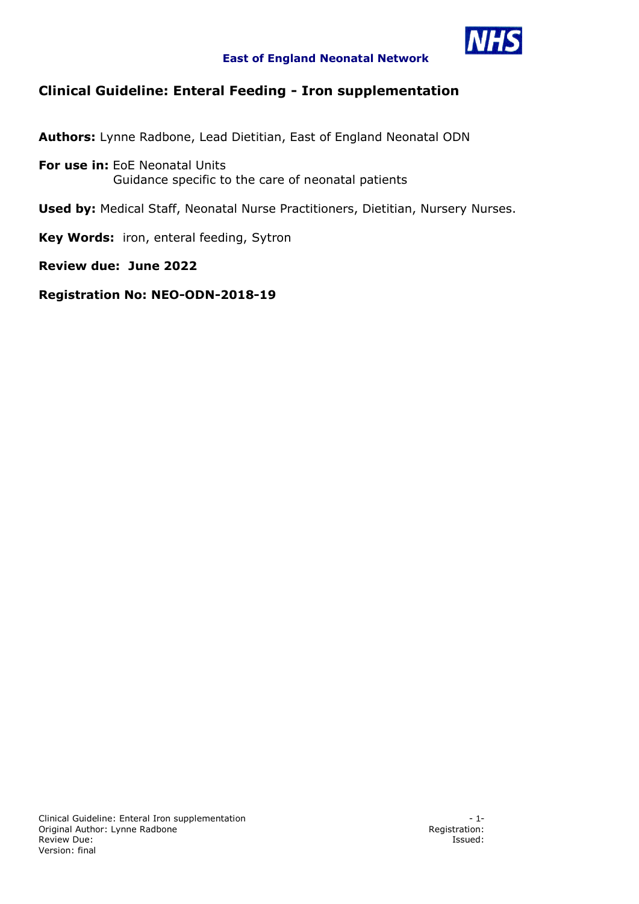

### **East of England Neonatal Network**

# **Clinical Guideline: Enteral Feeding - Iron supplementation**

**Authors:** Lynne Radbone, Lead Dietitian, East of England Neonatal ODN

**For use in:** EoE Neonatal Units Guidance specific to the care of neonatal patients

**Used by:** Medical Staff, Neonatal Nurse Practitioners, Dietitian, Nursery Nurses.

**Key Words:** iron, enteral feeding, Sytron

**Review due: June 2022**

**Registration No: NEO-ODN-2018-19**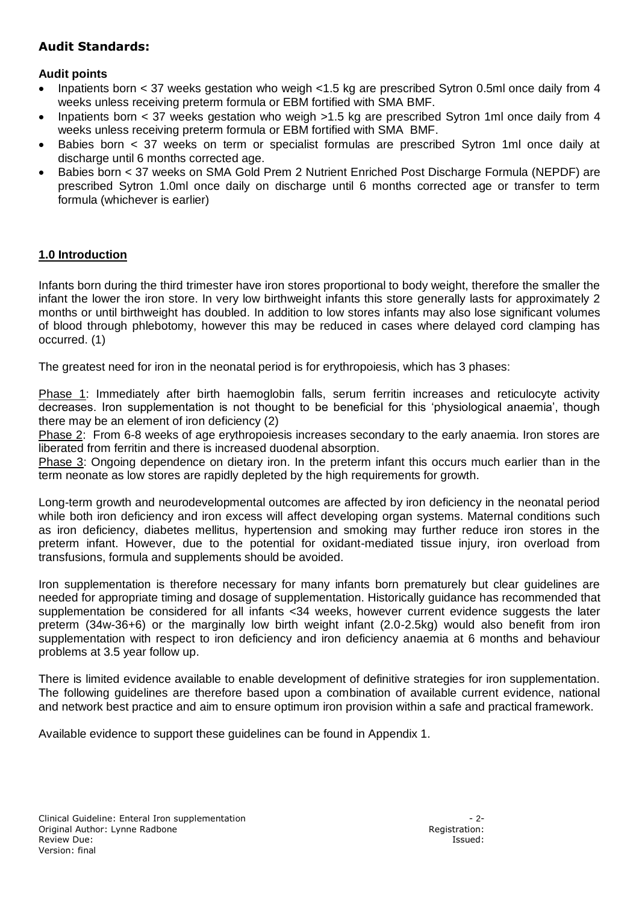# **Audit Standards:**

## **Audit points**

- Inpatients born  $<$  37 weeks gestation who weigh  $<$  1.5 kg are prescribed Sytron 0.5ml once daily from 4 weeks unless receiving preterm formula or EBM fortified with SMA BMF.
- Inpatients born < 37 weeks gestation who weigh >1.5 kg are prescribed Sytron 1ml once daily from 4 weeks unless receiving preterm formula or EBM fortified with SMA BMF.
- Babies born < 37 weeks on term or specialist formulas are prescribed Sytron 1ml once daily at discharge until 6 months corrected age.
- Babies born < 37 weeks on SMA Gold Prem 2 Nutrient Enriched Post Discharge Formula (NEPDF) are prescribed Sytron 1.0ml once daily on discharge until 6 months corrected age or transfer to term formula (whichever is earlier)

## **1.0 Introduction**

Infants born during the third trimester have iron stores proportional to body weight, therefore the smaller the infant the lower the iron store. In very low birthweight infants this store generally lasts for approximately 2 months or until birthweight has doubled. In addition to low stores infants may also lose significant volumes of blood through phlebotomy, however this may be reduced in cases where delayed cord clamping has occurred. (1)

The greatest need for iron in the neonatal period is for erythropoiesis, which has 3 phases:

Phase 1: Immediately after birth haemoglobin falls, serum ferritin increases and reticulocyte activity decreases. Iron supplementation is not thought to be beneficial for this 'physiological anaemia', though there may be an element of iron deficiency (2)

Phase 2: From 6-8 weeks of age erythropoiesis increases secondary to the early anaemia. Iron stores are liberated from ferritin and there is increased duodenal absorption.

Phase 3: Ongoing dependence on dietary iron. In the preterm infant this occurs much earlier than in the term neonate as low stores are rapidly depleted by the high requirements for growth.

Long-term growth and neurodevelopmental outcomes are affected by iron deficiency in the neonatal period while both iron deficiency and iron excess will affect developing organ systems. Maternal conditions such as iron deficiency, diabetes mellitus, hypertension and smoking may further reduce iron stores in the preterm infant. However, due to the potential for oxidant-mediated tissue injury, iron overload from transfusions, formula and supplements should be avoided.

Iron supplementation is therefore necessary for many infants born prematurely but clear guidelines are needed for appropriate timing and dosage of supplementation. Historically guidance has recommended that supplementation be considered for all infants <34 weeks, however current evidence suggests the later preterm (34w-36+6) or the marginally low birth weight infant (2.0-2.5kg) would also benefit from iron supplementation with respect to iron deficiency and iron deficiency anaemia at 6 months and behaviour problems at 3.5 year follow up.

There is limited evidence available to enable development of definitive strategies for iron supplementation. The following guidelines are therefore based upon a combination of available current evidence, national and network best practice and aim to ensure optimum iron provision within a safe and practical framework.

Available evidence to support these guidelines can be found in Appendix 1.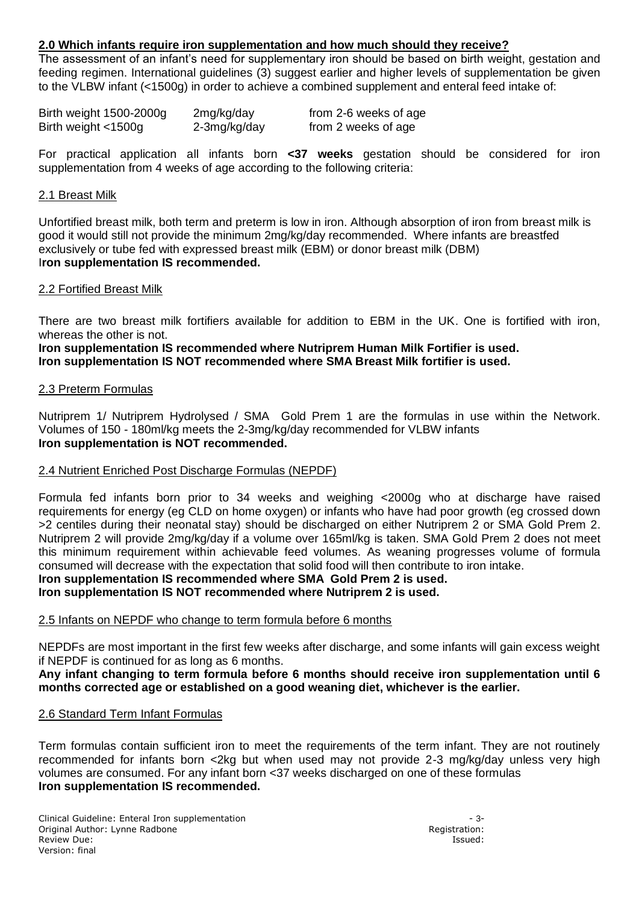### **2.0 Which infants require iron supplementation and how much should they receive?**

The assessment of an infant's need for supplementary iron should be based on birth weight, gestation and feeding regimen. International guidelines (3) suggest earlier and higher levels of supplementation be given to the VLBW infant (<1500g) in order to achieve a combined supplement and enteral feed intake of:

| Birth weight 1500-2000g | 2mg/kg/day   | from 2-6 weeks of age |
|-------------------------|--------------|-----------------------|
| Birth weight <1500g     | 2-3mg/kg/day | from 2 weeks of age   |

For practical application all infants born **<37 weeks** gestation should be considered for iron supplementation from 4 weeks of age according to the following criteria:

#### 2.1 Breast Milk

Unfortified breast milk, both term and preterm is low in iron. Although absorption of iron from breast milk is good it would still not provide the minimum 2mg/kg/day recommended. Where infants are breastfed exclusively or tube fed with expressed breast milk (EBM) or donor breast milk (DBM) I**ron supplementation IS recommended.**

#### 2.2 Fortified Breast Milk

There are two breast milk fortifiers available for addition to EBM in the UK. One is fortified with iron, whereas the other is not.

**Iron supplementation IS recommended where Nutriprem Human Milk Fortifier is used. Iron supplementation IS NOT recommended where SMA Breast Milk fortifier is used.** 

#### 2.3 Preterm Formulas

Nutriprem 1/ Nutriprem Hydrolysed / SMA Gold Prem 1 are the formulas in use within the Network. Volumes of 150 - 180ml/kg meets the 2-3mg/kg/day recommended for VLBW infants **Iron supplementation is NOT recommended.**

### 2.4 Nutrient Enriched Post Discharge Formulas (NEPDF)

Formula fed infants born prior to 34 weeks and weighing <2000g who at discharge have raised requirements for energy (eg CLD on home oxygen) or infants who have had poor growth (eg crossed down >2 centiles during their neonatal stay) should be discharged on either Nutriprem 2 or SMA Gold Prem 2. Nutriprem 2 will provide 2mg/kg/day if a volume over 165ml/kg is taken. SMA Gold Prem 2 does not meet this minimum requirement within achievable feed volumes. As weaning progresses volume of formula consumed will decrease with the expectation that solid food will then contribute to iron intake. **Iron supplementation IS recommended where SMA Gold Prem 2 is used.**

### **Iron supplementation IS NOT recommended where Nutriprem 2 is used.**

#### 2.5 Infants on NEPDF who change to term formula before 6 months

NEPDFs are most important in the first few weeks after discharge, and some infants will gain excess weight if NEPDF is continued for as long as 6 months.

**Any infant changing to term formula before 6 months should receive iron supplementation until 6 months corrected age or established on a good weaning diet, whichever is the earlier.**

#### 2.6 Standard Term Infant Formulas

Term formulas contain sufficient iron to meet the requirements of the term infant. They are not routinely recommended for infants born <2kg but when used may not provide 2-3 mg/kg/day unless very high volumes are consumed. For any infant born <37 weeks discharged on one of these formulas **Iron supplementation IS recommended.**

Clinical Guideline: Enteral Iron supplementation - 3- Original Author: Lynne Radbone Review Due: Issued: Issued: Issued: Issued: Issued: Issued: Issued: Issued: Issued: Issued: Issued: Issued: Issued: Issued: Issued: Issued: Issued: Issued: Issued: Issued: Issued: Issued: Issued: Issued: Issued: Issued: Is Version: final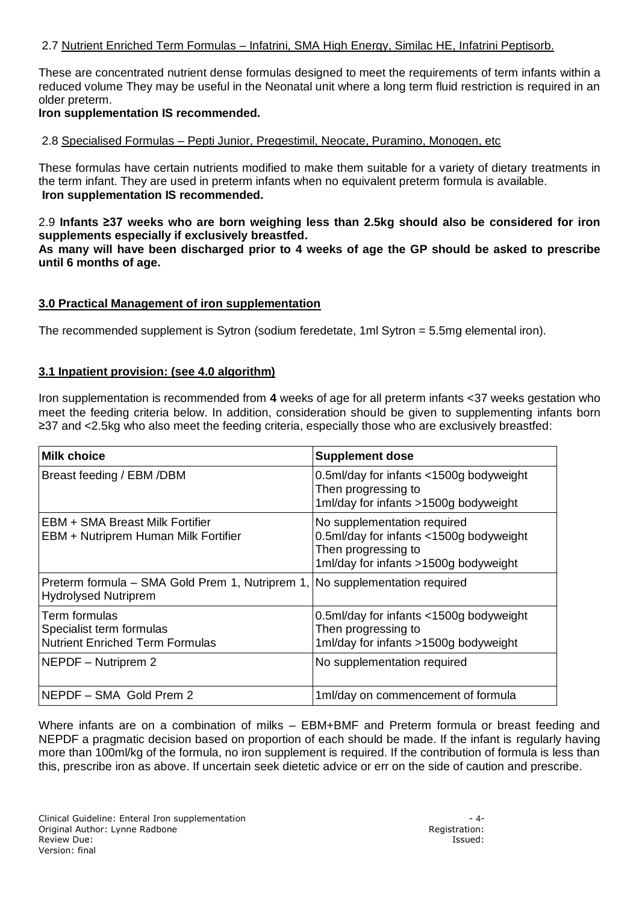### 2.7 Nutrient Enriched Term Formulas – Infatrini, SMA High Energy, Similac HE, Infatrini Peptisorb.

These are concentrated nutrient dense formulas designed to meet the requirements of term infants within a reduced volume They may be useful in the Neonatal unit where a long term fluid restriction is required in an older preterm.

#### **Iron supplementation IS recommended.**

#### 2.8 Specialised Formulas – Pepti Junior, Pregestimil, Neocate, Puramino, Monogen, etc

These formulas have certain nutrients modified to make them suitable for a variety of dietary treatments in the term infant. They are used in preterm infants when no equivalent preterm formula is available. **Iron supplementation IS recommended.**

2.9 **Infants ≥37 weeks who are born weighing less than 2.5kg should also be considered for iron supplements especially if exclusively breastfed.** 

**As many will have been discharged prior to 4 weeks of age the GP should be asked to prescribe until 6 months of age.**

#### **3.0 Practical Management of iron supplementation**

The recommended supplement is Sytron (sodium feredetate, 1ml Sytron = 5.5mg elemental iron).

#### **3.1 Inpatient provision: (see 4.0 algorithm)**

Iron supplementation is recommended from **4** weeks of age for all preterm infants <37 weeks gestation who meet the feeding criteria below. In addition, consideration should be given to supplementing infants born ≥37 and <2.5kg who also meet the feeding criteria, especially those who are exclusively breastfed:

| <b>Milk choice</b>                                                                  | <b>Supplement dose</b>                                                                                                                 |  |
|-------------------------------------------------------------------------------------|----------------------------------------------------------------------------------------------------------------------------------------|--|
| Breast feeding / EBM /DBM                                                           | 0.5ml/day for infants <1500g bodyweight<br>Then progressing to<br>1ml/day for infants >1500g bodyweight                                |  |
| EBM + SMA Breast Milk Fortifier<br>EBM + Nutriprem Human Milk Fortifier             | No supplementation required<br>0.5ml/day for infants <1500g bodyweight<br>Then progressing to<br>1ml/day for infants >1500g bodyweight |  |
| Preterm formula – SMA Gold Prem 1, Nutriprem 1,<br><b>Hydrolysed Nutriprem</b>      | No supplementation required                                                                                                            |  |
| Term formulas<br>Specialist term formulas<br><b>Nutrient Enriched Term Formulas</b> | 0.5ml/day for infants <1500g bodyweight<br>Then progressing to<br>1ml/day for infants >1500g bodyweight                                |  |
| NEPDF - Nutriprem 2                                                                 | No supplementation required                                                                                                            |  |
| NEPDF - SMA Gold Prem 2                                                             | 1ml/day on commencement of formula                                                                                                     |  |

Where infants are on a combination of milks – EBM+BMF and Preterm formula or breast feeding and NEPDF a pragmatic decision based on proportion of each should be made. If the infant is regularly having more than 100ml/kg of the formula, no iron supplement is required. If the contribution of formula is less than this, prescribe iron as above. If uncertain seek dietetic advice or err on the side of caution and prescribe.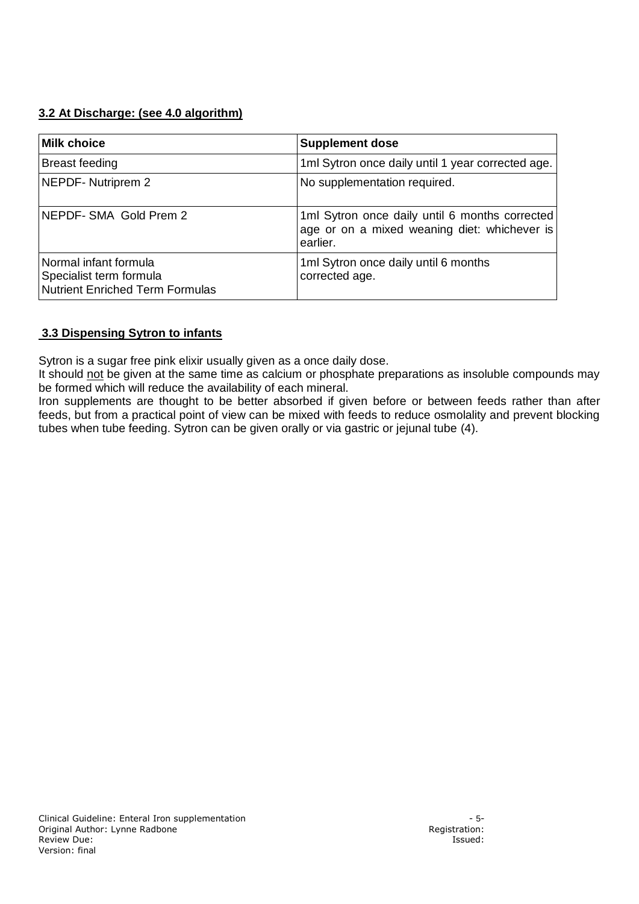## **3.2 At Discharge: (see 4.0 algorithm)**

| <b>Milk choice</b>                                                                         | <b>Supplement dose</b>                                                                                     |
|--------------------------------------------------------------------------------------------|------------------------------------------------------------------------------------------------------------|
| Breast feeding                                                                             | 1ml Sytron once daily until 1 year corrected age.                                                          |
| NEPDF- Nutriprem 2                                                                         | No supplementation required.                                                                               |
| NEPDF- SMA Gold Prem 2                                                                     | 1ml Sytron once daily until 6 months corrected<br>age or on a mixed weaning diet: whichever is<br>earlier. |
| Normal infant formula<br>Specialist term formula<br><b>Nutrient Enriched Term Formulas</b> | 1ml Sytron once daily until 6 months<br>corrected age.                                                     |

## **3.3 Dispensing Sytron to infants**

Sytron is a sugar free pink elixir usually given as a once daily dose.

It should not be given at the same time as calcium or phosphate preparations as insoluble compounds may be formed which will reduce the availability of each mineral.

Iron supplements are thought to be better absorbed if given before or between feeds rather than after feeds, but from a practical point of view can be mixed with feeds to reduce osmolality and prevent blocking tubes when tube feeding. Sytron can be given orally or via gastric or jejunal tube (4).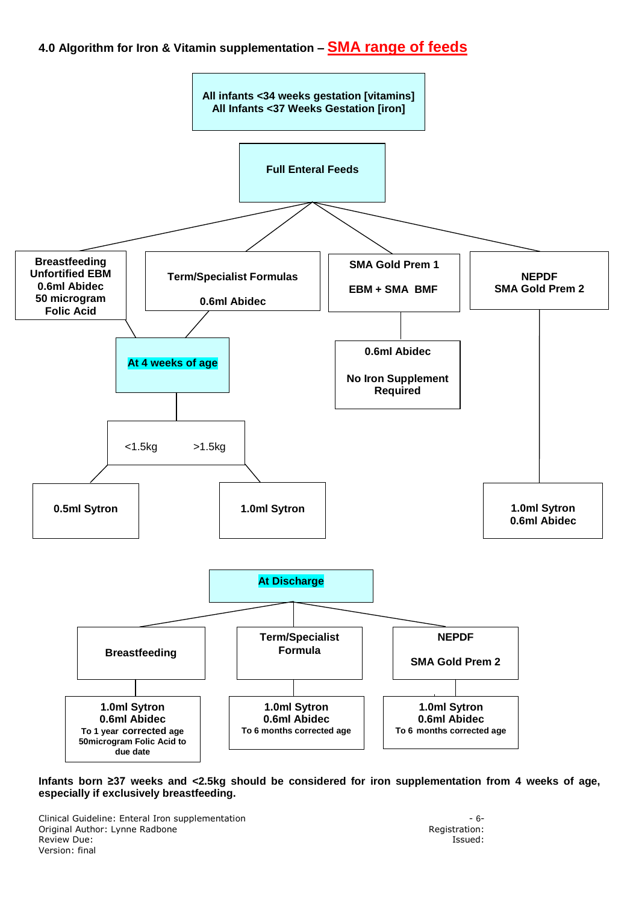# **4.0 Algorithm for Iron & Vitamin supplementation – SMA range of feeds**



#### **Infants born ≥37 weeks and <2.5kg should be considered for iron supplementation from 4 weeks of age, especially if exclusively breastfeeding.**

Clinical Guideline: Enteral Iron supplementation<br>
Original Author: Lynne Radbone<br>
Original Author: Lynne Radbone Original Author: Lynne Radbone **Review Due:** Issued: Version: final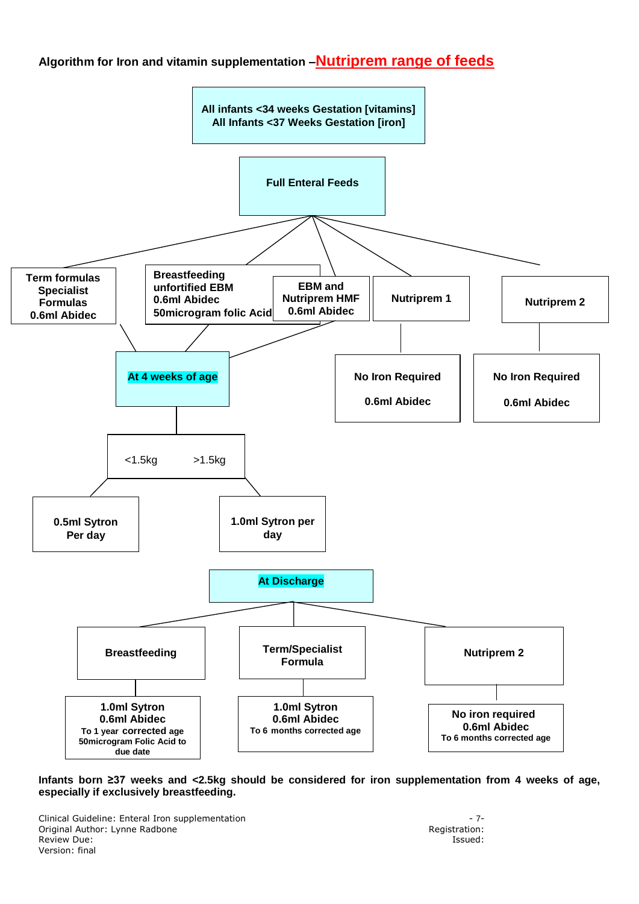## **Algorithm for Iron and vitamin supplementation –Nutriprem range of feeds**



#### **Infants born ≥37 weeks and <2.5kg should be considered for iron supplementation from 4 weeks of age, especially if exclusively breastfeeding.**

Clinical Guideline: Enteral Iron supplementation - 7- Original Author: Lynne Radbone **Review Due:** Issued: Version: final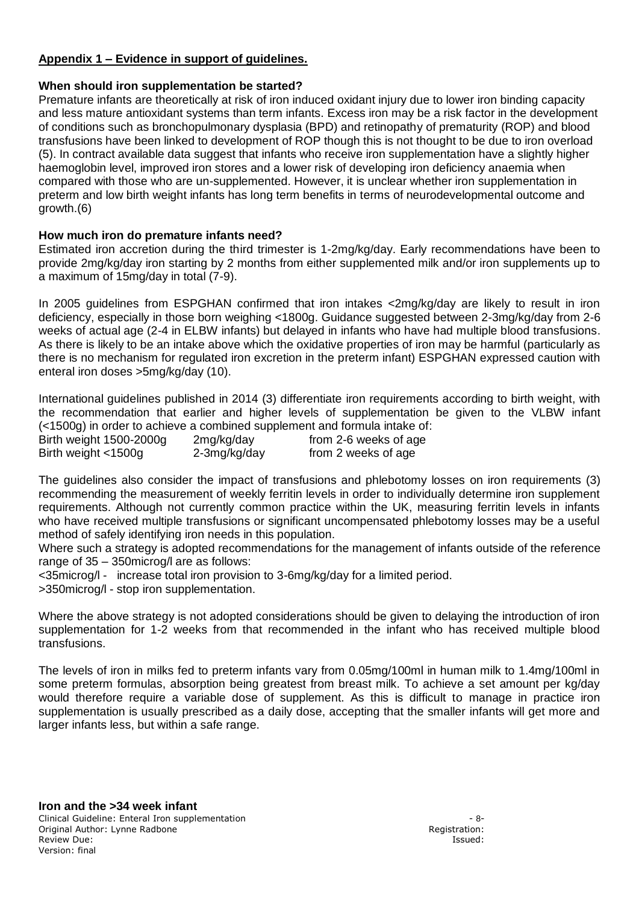## **Appendix 1 – Evidence in support of guidelines.**

## **When should iron supplementation be started?**

Premature infants are theoretically at risk of iron induced oxidant injury due to lower iron binding capacity and less mature antioxidant systems than term infants. Excess iron may be a risk factor in the development of conditions such as bronchopulmonary dysplasia (BPD) and retinopathy of prematurity (ROP) and blood transfusions have been linked to development of ROP though this is not thought to be due to iron overload (5). In contract available data suggest that infants who receive iron supplementation have a slightly higher haemoglobin level, improved iron stores and a lower risk of developing iron deficiency anaemia when compared with those who are un-supplemented. However, it is unclear whether iron supplementation in preterm and low birth weight infants has long term benefits in terms of neurodevelopmental outcome and growth.(6)

## **How much iron do premature infants need?**

Estimated iron accretion during the third trimester is 1-2mg/kg/day. Early recommendations have been to provide 2mg/kg/day iron starting by 2 months from either supplemented milk and/or iron supplements up to a maximum of 15mg/day in total (7-9).

In 2005 guidelines from ESPGHAN confirmed that iron intakes <2mg/kg/day are likely to result in iron deficiency, especially in those born weighing <1800g. Guidance suggested between 2-3mg/kg/day from 2-6 weeks of actual age (2-4 in ELBW infants) but delayed in infants who have had multiple blood transfusions. As there is likely to be an intake above which the oxidative properties of iron may be harmful (particularly as there is no mechanism for regulated iron excretion in the preterm infant) ESPGHAN expressed caution with enteral iron doses >5mg/kg/day (10).

International guidelines published in 2014 (3) differentiate iron requirements according to birth weight, with the recommendation that earlier and higher levels of supplementation be given to the VLBW infant  $\left($  <1500g) in order to achieve a combined supplement and formula intake of:

| Birth weight 1500-2000g | 2mg/kg/day   | from 2-6 weeks of age |
|-------------------------|--------------|-----------------------|
| Birth weight <1500g     | 2-3mg/kg/day | from 2 weeks of age   |

The guidelines also consider the impact of transfusions and phlebotomy losses on iron requirements (3) recommending the measurement of weekly ferritin levels in order to individually determine iron supplement requirements. Although not currently common practice within the UK, measuring ferritin levels in infants who have received multiple transfusions or significant uncompensated phlebotomy losses may be a useful method of safely identifying iron needs in this population.

Where such a strategy is adopted recommendations for the management of infants outside of the reference range of 35 – 350microg/l are as follows:

<35microg/l - increase total iron provision to 3-6mg/kg/day for a limited period.

>350microg/l - stop iron supplementation.

Where the above strategy is not adopted considerations should be given to delaying the introduction of iron supplementation for 1-2 weeks from that recommended in the infant who has received multiple blood transfusions.

The levels of iron in milks fed to preterm infants vary from 0.05mg/100ml in human milk to 1.4mg/100ml in some preterm formulas, absorption being greatest from breast milk. To achieve a set amount per kg/day would therefore require a variable dose of supplement. As this is difficult to manage in practice iron supplementation is usually prescribed as a daily dose, accepting that the smaller infants will get more and larger infants less, but within a safe range.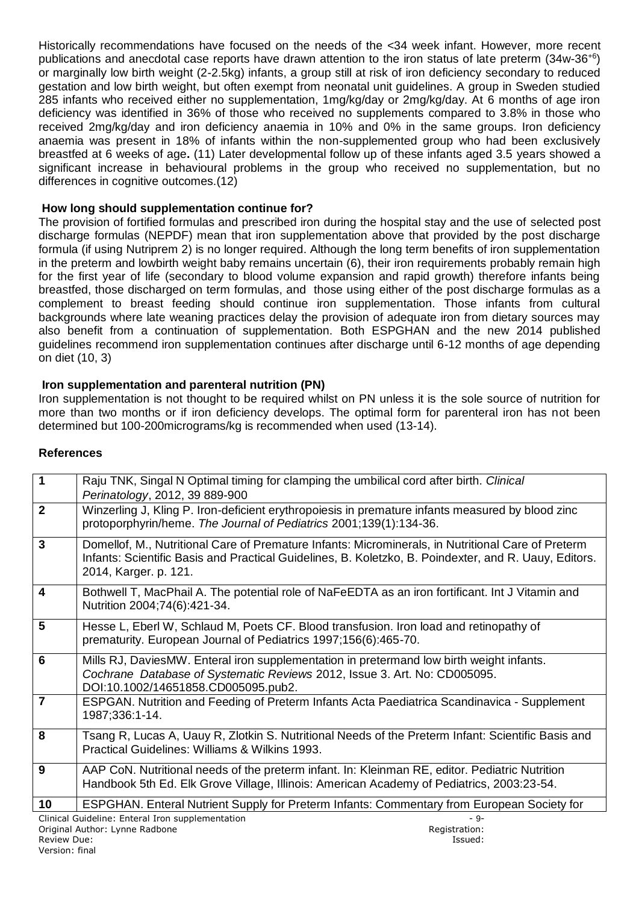Historically recommendations have focused on the needs of the <34 week infant. However, more recent publications and anecdotal case reports have drawn attention to the iron status of late preterm (34w-36+6) or marginally low birth weight (2-2.5kg) infants, a group still at risk of iron deficiency secondary to reduced gestation and low birth weight, but often exempt from neonatal unit guidelines. A group in Sweden studied 285 infants who received either no supplementation, 1mg/kg/day or 2mg/kg/day. At 6 months of age iron deficiency was identified in 36% of those who received no supplements compared to 3.8% in those who received 2mg/kg/day and iron deficiency anaemia in 10% and 0% in the same groups. Iron deficiency anaemia was present in 18% of infants within the non-supplemented group who had been exclusively breastfed at 6 weeks of age**.** (11) Later developmental follow up of these infants aged 3.5 years showed a significant increase in behavioural problems in the group who received no supplementation, but no differences in cognitive outcomes.(12)

## **How long should supplementation continue for?**

The provision of fortified formulas and prescribed iron during the hospital stay and the use of selected post discharge formulas (NEPDF) mean that iron supplementation above that provided by the post discharge formula (if using Nutriprem 2) is no longer required. Although the long term benefits of iron supplementation in the preterm and lowbirth weight baby remains uncertain (6), their iron requirements probably remain high for the first year of life (secondary to blood volume expansion and rapid growth) therefore infants being breastfed, those discharged on term formulas, and those using either of the post discharge formulas as a complement to breast feeding should continue iron supplementation. Those infants from cultural backgrounds where late weaning practices delay the provision of adequate iron from dietary sources may also benefit from a continuation of supplementation. Both ESPGHAN and the new 2014 published guidelines recommend iron supplementation continues after discharge until 6-12 months of age depending on diet (10, 3)

### **Iron supplementation and parenteral nutrition (PN)**

Iron supplementation is not thought to be required whilst on PN unless it is the sole source of nutrition for more than two months or if iron deficiency develops. The optimal form for parenteral iron has not been determined but 100-200micrograms/kg is recommended when used (13-14).

### **References**

| $\overline{\mathbf{1}}$ | Raju TNK, Singal N Optimal timing for clamping the umbilical cord after birth. Clinical<br>Perinatology, 2012, 39 889-900                                                                                                            |
|-------------------------|--------------------------------------------------------------------------------------------------------------------------------------------------------------------------------------------------------------------------------------|
| $\overline{2}$          | Winzerling J, Kling P. Iron-deficient erythropoiesis in premature infants measured by blood zinc<br>protoporphyrin/heme. The Journal of Pediatrics 2001;139(1):134-36.                                                               |
| 3                       | Domellof, M., Nutritional Care of Premature Infants: Microminerals, in Nutritional Care of Preterm<br>Infants: Scientific Basis and Practical Guidelines, B. Koletzko, B. Poindexter, and R. Uauy, Editors.<br>2014, Karger. p. 121. |
| 4                       | Bothwell T, MacPhail A. The potential role of NaFeEDTA as an iron fortificant. Int J Vitamin and<br>Nutrition 2004;74(6):421-34.                                                                                                     |
| 5                       | Hesse L, Eberl W, Schlaud M, Poets CF. Blood transfusion. Iron load and retinopathy of<br>prematurity. European Journal of Pediatrics 1997;156(6):465-70.                                                                            |
| 6                       | Mills RJ, DaviesMW. Enteral iron supplementation in pretermand low birth weight infants.<br>Cochrane Database of Systematic Reviews 2012, Issue 3. Art. No: CD005095.<br>DOI:10.1002/14651858.CD005095.pub2.                         |
| $\overline{7}$          | ESPGAN. Nutrition and Feeding of Preterm Infants Acta Paediatrica Scandinavica - Supplement<br>1987;336:1-14.                                                                                                                        |
| 8                       | Tsang R, Lucas A, Uauy R, Zlotkin S. Nutritional Needs of the Preterm Infant: Scientific Basis and<br>Practical Guidelines: Williams & Wilkins 1993.                                                                                 |
| 9                       | AAP CoN. Nutritional needs of the preterm infant. In: Kleinman RE, editor. Pediatric Nutrition<br>Handbook 5th Ed. Elk Grove Village, Illinois: American Academy of Pediatrics, 2003:23-54.                                          |
| 10                      | ESPGHAN. Enteral Nutrient Supply for Preterm Infants: Commentary from European Society for                                                                                                                                           |
|                         | Clinical Guideline: Enteral Iron supplementation<br>$-9-$                                                                                                                                                                            |